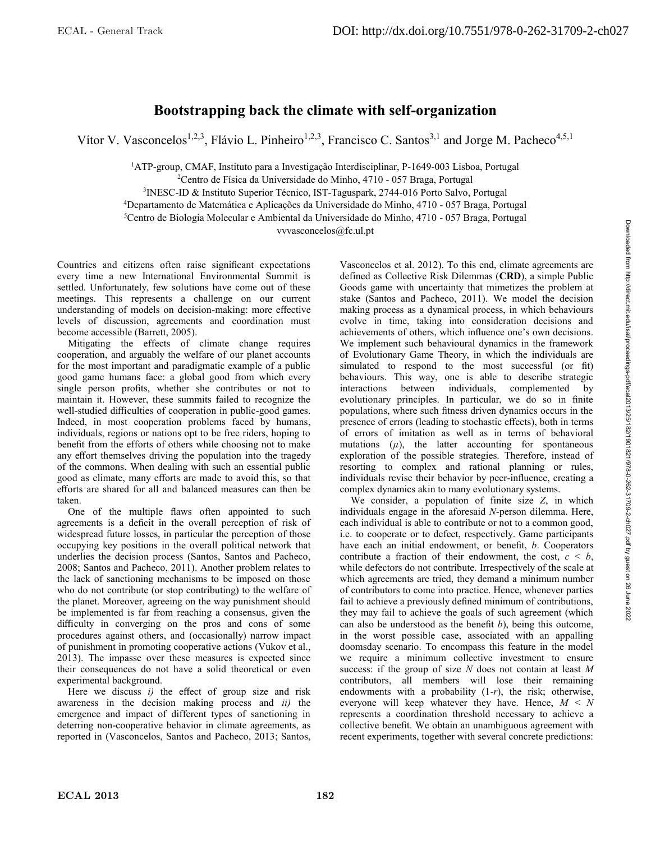## **Bootstrapping back the climate with self-organization**

Vítor V. Vasconcelos<sup>1,2,3</sup>, Flávio L. Pinheiro<sup>1,2,3</sup>, Francisco C. Santos<sup>3,1</sup> and Jorge M. Pacheco<sup>4,5,1</sup>

1 ATP-group, CMAF, Instituto para a Investigação Interdisciplinar, P-1649-003 Lisboa, Portugal

2 Centro de Física da Universidade do Minho, 4710 - 057 Braga, Portugal

3 INESC-ID & Instituto Superior Técnico, IST-Taguspark, 2744-016 Porto Salvo, Portugal

4 Departamento de Matemática e Aplicações da Universidade do Minho, 4710 - 057 Braga, Portugal

5 Centro de Biologia Molecular e Ambiental da Universidade do Minho, 4710 - 057 Braga, Portugal

vvvasconcelos@fc.ul.pt

Countries and citizens often raise significant expectations every time a new International Environmental Summit is settled. Unfortunately, few solutions have come out of these meetings. This represents a challenge on our current understanding of models on decision-making: more effective levels of discussion, agreements and coordination must become accessible (Barrett, 2005).

Mitigating the effects of climate change requires cooperation, and arguably the welfare of our planet accounts for the most important and paradigmatic example of a public good game humans face: a global good from which every single person profits, whether she contributes or not to maintain it. However, these summits failed to recognize the well-studied difficulties of cooperation in public-good games. Indeed, in most cooperation problems faced by humans, individuals, regions or nations opt to be free riders, hoping to benefit from the efforts of others while choosing not to make any effort themselves driving the population into the tragedy of the commons. When dealing with such an essential public good as climate, many efforts are made to avoid this, so that efforts are shared for all and balanced measures can then be taken.

One of the multiple flaws often appointed to such agreements is a deficit in the overall perception of risk of widespread future losses, in particular the perception of those occupying key positions in the overall political network that underlies the decision process (Santos, Santos and Pacheco, 2008; Santos and Pacheco, 2011). Another problem relates to the lack of sanctioning mechanisms to be imposed on those who do not contribute (or stop contributing) to the welfare of the planet. Moreover, agreeing on the way punishment should be implemented is far from reaching a consensus, given the difficulty in converging on the pros and cons of some procedures against others, and (occasionally) narrow impact of punishment in promoting cooperative actions (Vukov et al., 2013). The impasse over these measures is expected since their consequences do not have a solid theoretical or even experimental background.

Here we discuss  $i$ ) the effect of group size and risk awareness in the decision making process and *ii)* the emergence and impact of different types of sanctioning in deterring non-cooperative behavior in climate agreements, as reported in (Vasconcelos, Santos and Pacheco, 2013; Santos,

Vasconcelos et al. 2012). To this end, climate agreements are defined as Collective Risk Dilemmas (**CRD**), a simple Public Goods game with uncertainty that mimetizes the problem at stake (Santos and Pacheco, 2011). We model the decision making process as a dynamical process, in which behaviours evolve in time, taking into consideration decisions and achievements of others, which influence one's own decisions. We implement such behavioural dynamics in the framework of Evolutionary Game Theory, in which the individuals are simulated to respond to the most successful (or fit) behaviours. This way, one is able to describe strategic interactions between individuals, complemented by evolutionary principles. In particular, we do so in finite populations, where such fitness driven dynamics occurs in the presence of errors (leading to stochastic effects), both in terms of errors of imitation as well as in terms of behavioral mutations  $(\mu)$ , the latter accounting for spontaneous exploration of the possible strategies. Therefore, instead of resorting to complex and rational planning or rules, individuals revise their behavior by peer-influence, creating a complex dynamics akin to many evolutionary systems.

We consider, a population of finite size *Z*, in which individuals engage in the aforesaid *N*-person dilemma. Here, each individual is able to contribute or not to a common good, i.e. to cooperate or to defect, respectively. Game participants have each an initial endowment, or benefit, *b*. Cooperators contribute a fraction of their endowment, the cost,  $c < b$ , while defectors do not contribute. Irrespectively of the scale at which agreements are tried, they demand a minimum number of contributors to come into practice. Hence, whenever parties fail to achieve a previously defined minimum of contributions, they may fail to achieve the goals of such agreement (which can also be understood as the benefit *b*), being this outcome, in the worst possible case, associated with an appalling doomsday scenario. To encompass this feature in the model we require a minimum collective investment to ensure success: if the group of size *N* does not contain at least *M* contributors, all members will lose their remaining endowments with a probability (1-*r*), the risk; otherwise, everyone will keep whatever they have. Hence, *M* < *N* represents a coordination threshold necessary to achieve a collective benefit. We obtain an unambiguous agreement with recent experiments, together with several concrete predictions: